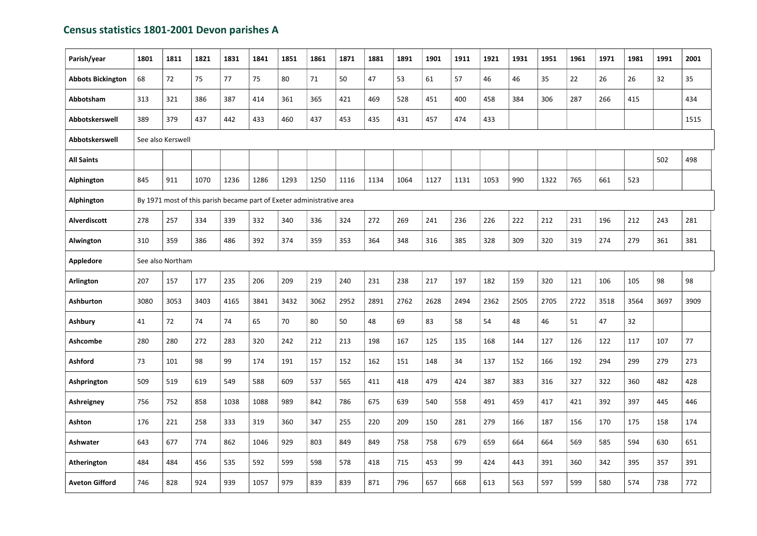## Census statistics 1801-2001 Devon parishes A

| Parish/year              | 1801 | 1811                                                                  | 1821 | 1831 | 1841 | 1851 | 1861 | 1871 | 1881 | 1891 | 1901 | 1911 | 1921 | 1931 | 1951 | 1961 | 1971 | 1981 | 1991 | 2001 |
|--------------------------|------|-----------------------------------------------------------------------|------|------|------|------|------|------|------|------|------|------|------|------|------|------|------|------|------|------|
| <b>Abbots Bickington</b> | 68   | 72                                                                    | 75   | 77   | 75   | 80   | 71   | 50   | 47   | 53   | 61   | 57   | 46   | 46   | 35   | 22   | 26   | 26   | 32   | 35   |
| Abbotsham                | 313  | 321                                                                   | 386  | 387  | 414  | 361  | 365  | 421  | 469  | 528  | 451  | 400  | 458  | 384  | 306  | 287  | 266  | 415  |      | 434  |
| Abbotskerswell           | 389  | 379                                                                   | 437  | 442  | 433  | 460  | 437  | 453  | 435  | 431  | 457  | 474  | 433  |      |      |      |      |      |      | 1515 |
| Abbotskerswell           |      | See also Kerswell                                                     |      |      |      |      |      |      |      |      |      |      |      |      |      |      |      |      |      |      |
| <b>All Saints</b>        |      |                                                                       |      |      |      |      |      |      |      |      |      |      |      |      |      |      |      |      | 502  | 498  |
| Alphington               | 845  | 911                                                                   | 1070 | 1236 | 1286 | 1293 | 1250 | 1116 | 1134 | 1064 | 1127 | 1131 | 1053 | 990  | 1322 | 765  | 661  | 523  |      |      |
| Alphington               |      | By 1971 most of this parish became part of Exeter administrative area |      |      |      |      |      |      |      |      |      |      |      |      |      |      |      |      |      |      |
| <b>Alverdiscott</b>      | 278  | 257                                                                   | 334  | 339  | 332  | 340  | 336  | 324  | 272  | 269  | 241  | 236  | 226  | 222  | 212  | 231  | 196  | 212  | 243  | 281  |
| Alwington                | 310  | 359                                                                   | 386  | 486  | 392  | 374  | 359  | 353  | 364  | 348  | 316  | 385  | 328  | 309  | 320  | 319  | 274  | 279  | 361  | 381  |
| <b>Appledore</b>         |      | See also Northam                                                      |      |      |      |      |      |      |      |      |      |      |      |      |      |      |      |      |      |      |
| Arlington                | 207  | 157                                                                   | 177  | 235  | 206  | 209  | 219  | 240  | 231  | 238  | 217  | 197  | 182  | 159  | 320  | 121  | 106  | 105  | 98   | 98   |
| <b>Ashburton</b>         | 3080 | 3053                                                                  | 3403 | 4165 | 3841 | 3432 | 3062 | 2952 | 2891 | 2762 | 2628 | 2494 | 2362 | 2505 | 2705 | 2722 | 3518 | 3564 | 3697 | 3909 |
| <b>Ashbury</b>           | 41   | 72                                                                    | 74   | 74   | 65   | 70   | 80   | 50   | 48   | 69   | 83   | 58   | 54   | 48   | 46   | 51   | 47   | 32   |      |      |
| <b>Ashcombe</b>          | 280  | 280                                                                   | 272  | 283  | 320  | 242  | 212  | 213  | 198  | 167  | 125  | 135  | 168  | 144  | 127  | 126  | 122  | 117  | 107  | 77   |
| <b>Ashford</b>           | 73   | 101                                                                   | 98   | 99   | 174  | 191  | 157  | 152  | 162  | 151  | 148  | 34   | 137  | 152  | 166  | 192  | 294  | 299  | 279  | 273  |
| Ashprington              | 509  | 519                                                                   | 619  | 549  | 588  | 609  | 537  | 565  | 411  | 418  | 479  | 424  | 387  | 383  | 316  | 327  | 322  | 360  | 482  | 428  |
| Ashreigney               | 756  | 752                                                                   | 858  | 1038 | 1088 | 989  | 842  | 786  | 675  | 639  | 540  | 558  | 491  | 459  | 417  | 421  | 392  | 397  | 445  | 446  |
| Ashton                   | 176  | 221                                                                   | 258  | 333  | 319  | 360  | 347  | 255  | 220  | 209  | 150  | 281  | 279  | 166  | 187  | 156  | 170  | 175  | 158  | 174  |
| Ashwater                 | 643  | 677                                                                   | 774  | 862  | 1046 | 929  | 803  | 849  | 849  | 758  | 758  | 679  | 659  | 664  | 664  | 569  | 585  | 594  | 630  | 651  |
| Atherington              | 484  | 484                                                                   | 456  | 535  | 592  | 599  | 598  | 578  | 418  | 715  | 453  | 99   | 424  | 443  | 391  | 360  | 342  | 395  | 357  | 391  |
| <b>Aveton Gifford</b>    | 746  | 828                                                                   | 924  | 939  | 1057 | 979  | 839  | 839  | 871  | 796  | 657  | 668  | 613  | 563  | 597  | 599  | 580  | 574  | 738  | 772  |